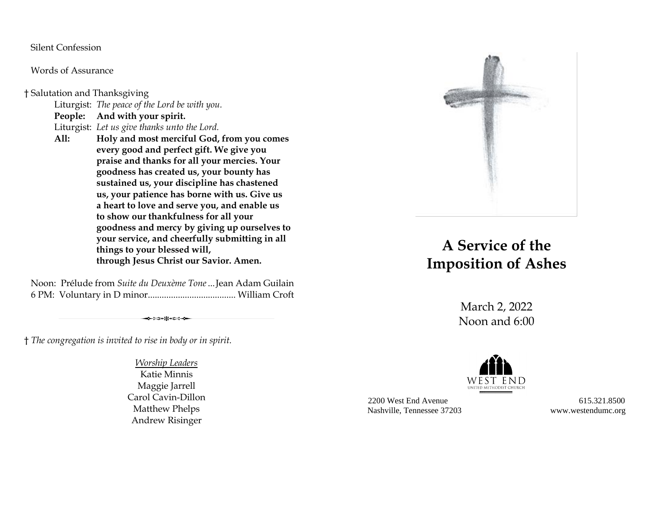Silent Confession

Words of Assurance

† Salutation and Thanksgiving

Liturgist: *The peace of the Lord be with you.*

**People: And with your spirit.**

Liturgist: *Let us give thanks unto the Lord.*

**All: Holy and most merciful God, from you comes every good and perfect gift. We give you praise and thanks for all your mercies. Your goodness has created us, your bounty has sustained us, your discipline has chastened us, your patience has borne with us. Give us a heart to love and serve you, and enable us to show our thankfulness for all your goodness and mercy by giving up ourselves to your service, and cheerfully submitting in all things to your blessed will, through Jesus Christ our Savior. Amen.**

Noon: Prélude from *Suite du Deuxème Tone*...Jean Adam Guilain 6 PM: Voluntary in D minor...................................... William Croft

- → ⊱∋+ж+с= →

† *The congregation is invited to rise in body or in spirit.*

*Worship Leaders* Katie Minnis Maggie Jarrell Carol Cavin-Dillon Matthew Phelps Andrew Risinger



## **A Service of the Imposition of Ashes**

March 2, 2022 Noon and 6:00



2200 West End Avenue 615.321.8500 Nashville, Tennessee 37203 www.westendumc.org